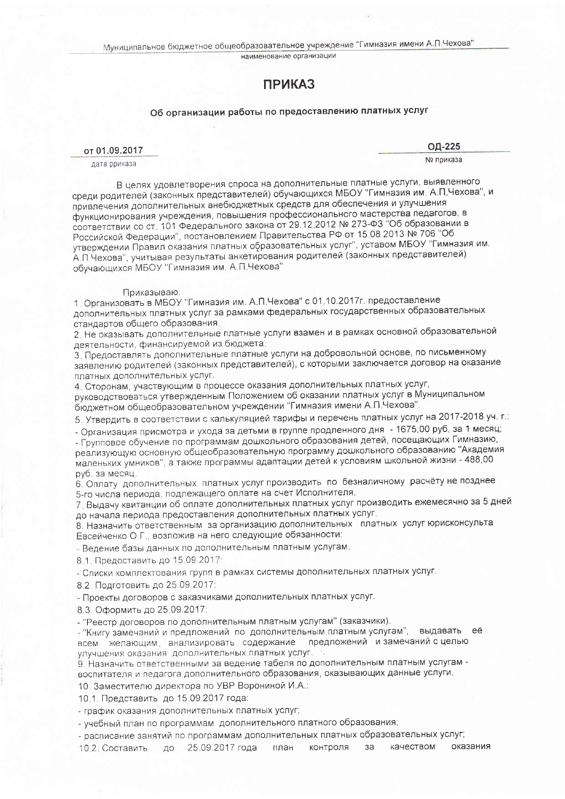наименование организации

## **ПРИКАЗ**

## Об организации работы по предоставлению платных услуг

## от 01.09.2017

дата приказа

ОД-225

№ приказа

В целях удовлетворения спроса на дополнительные платные услуги, выявленного среди родителей (законных представителей) обучающихся МБОУ "Гимназия им. А.П.Чехова", и привлечения дополнительных внебюджетных средств для обеспечения и улучшения функционирования учреждения, повышения профессионального мастерства педагогов, в соответствии со ст. 101 Федерального закона от 29.12.2012 № 273-ФЗ "Об образовании в Российской Федерации", постановлением Правительства РФ от 15.08.2013 № 706 "Об утверждении Правил оказания платных образовательных услуг", уставом МБОУ "Гимназия им. А П Чехова", учитывая результаты анкетирования родителей (законных представителей) обучающихся МБОУ "Гимназия им. А.П.Чехова"

## Приказываю:

1. Организовать в МБОУ "Гимназия им. А.П.Чехова" с 01.10.2017г. предоставление дополнительных платных услуг за рамками федеральных государственных образовательных стандартов общего образования.

2. Не оказывать дополнительные платные услуги взамен и в рамках основной образовательной деятельности, финансируемой из бюджета.

3. Предоставлять дополнительные платные услуги на добровольной основе, по письменному заявлению родителей (законных представителей), с которыми заключается договор на оказание платных дополнительных услуг.

4. Сторонам, участвующим в процессе оказания дополнительных платных услуг, руководствоваться утвержденным Положением об оказании платных услуг в Муниципальном бюджетном общеобразовательном учреждении "Гимназия имени А.П.Чехова"

5. Утвердить в соответствии с калькуляцией тарифы и перечень платных услуг на 2017-2018 уч. г.:

- Организация присмотра и ухода за детьми в группе продленного дня - 1675,00 руб, за 1 месяц;

- Групповое обучение по программам дошкольного образования детей, посещающих Гимназию, реализующую основную общеобразовательную программу дошкольного образованию "Академия маленьких умников", а также программы адаптации детей к условиям школьной жизни - 488,00 руб, за месяц.

6. Оплату дополнительных платных услуг производить по безналичному расчёту не позднее 5-го числа периода, подлежащего оплате на счет Исполнителя.

7. Выдачу квитанции об оплате дополнительных платных услуг производить ежемесячно за 5 дней до начала периода предоставления дополнительных платных услуг.

8. Назначить ответственным за организацию дополнительных платных услуг юрисконсульта Евсейченко О.Г., возложив на него следующие обязанности:

- Ведение базы данных по дополнительным платным услугам

8.1. Предоставить до 15.09.2017:

- Списки комплектования групп в рамках системы дополнительных платных услуг.

8.2. Подготовить до 25.09.2017:

- Проекты договоров с заказчиками дополнительных платных услуг.

8.3. Оформить до 25.09.2017:

- "Реестр договоров по дополнительным платным услугам" (заказчики).

- "Книгу замечаний и предложений по дополнительным платным услугам", выдавать её всем желающим анализировать содержание предложений и замечаний с целью улучшения оказания дополнительных платных услуг.

9. Назначить ответственными за ведение табеля по дополнительным платным услугам воспитателя и педагога дополнительного образования, оказывающих данные услуги.

10. Заместителю директора по УВР Ворониной И.А.:

10.1. Представить до 15.09.2017 года:

- график оказания дополнительных платных услуг;

- учебный план по программам дополнительного платного образования;

- расписание занятий по программам дополнительных платных образовательных услуг;

10.2. Составить до 25.09.2017 года план контроля за качеством оказания